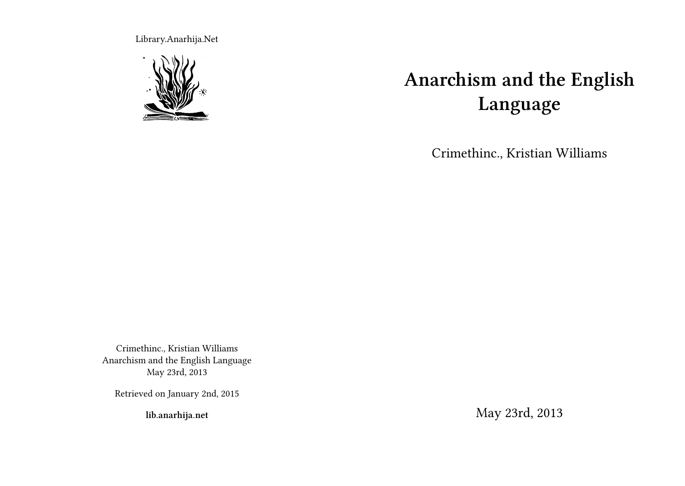Library.Anarhija.Net



# **Anarchism and the English Language**

Crimethinc., Kristian Williams

Crimethinc., Kristian Williams Anarchism and the English Language May 23rd, 2013

Retrieved on January 2nd, 2015

**lib.anarhija.net**

May 23rd, 2013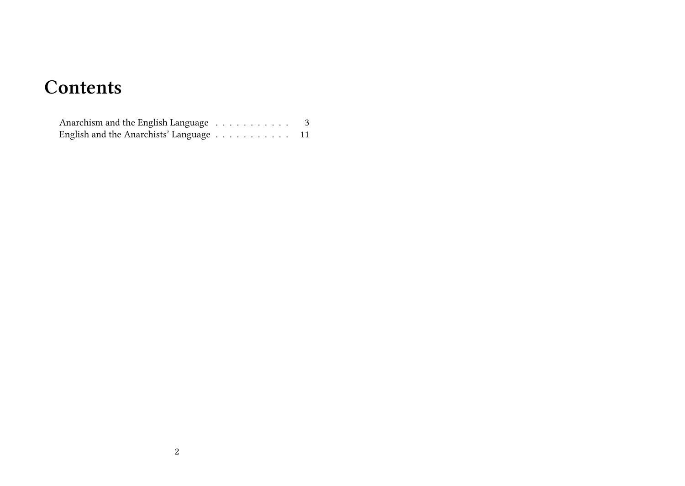## **Contents**

| Anarchism and the English Language 3    |  |
|-----------------------------------------|--|
| English and the Anarchists' Language 11 |  |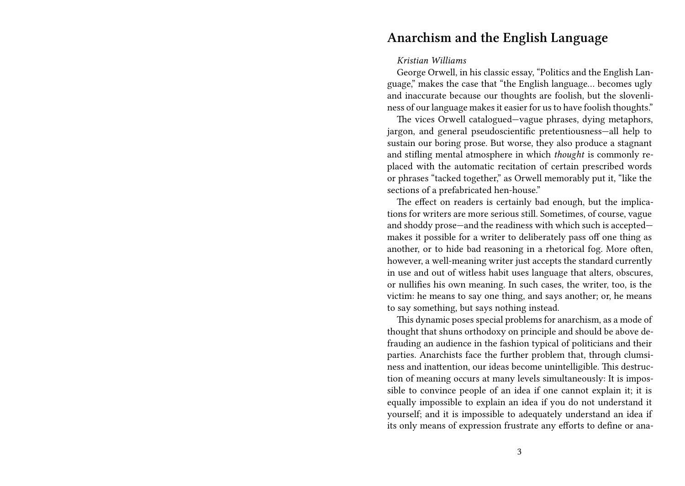#### **Anarchism and the English Language**

*Kristian Williams*

George Orwell, in his classic essay, "Politics and the English Language," makes the case that "the English language… becomes ugly and inaccurate because our thoughts are foolish, but the slovenliness of our language makes it easier for us to have foolish thoughts."

The vices Orwell catalogued—vague phrases, dying metaphors, jargon, and general pseudoscientific pretentiousness—all help to sustain our boring prose. But worse, they also produce a stagnant and stifling mental atmosphere in which *thought* is commonly replaced with the automatic recitation of certain prescribed words or phrases "tacked together," as Orwell memorably put it, "like the sections of a prefabricated hen-house."

The effect on readers is certainly bad enough, but the implications for writers are more serious still. Sometimes, of course, vague and shoddy prose—and the readiness with which such is accepted makes it possible for a writer to deliberately pass off one thing as another, or to hide bad reasoning in a rhetorical fog. More often, however, a well-meaning writer just accepts the standard currently in use and out of witless habit uses language that alters, obscures, or nullifies his own meaning. In such cases, the writer, too, is the victim: he means to say one thing, and says another; or, he means to say something, but says nothing instead.

This dynamic poses special problems for anarchism, as a mode of thought that shuns orthodoxy on principle and should be above defrauding an audience in the fashion typical of politicians and their parties. Anarchists face the further problem that, through clumsiness and inattention, our ideas become unintelligible. This destruction of meaning occurs at many levels simultaneously: It is impossible to convince people of an idea if one cannot explain it; it is equally impossible to explain an idea if you do not understand it yourself; and it is impossible to adequately understand an idea if its only means of expression frustrate any efforts to define or ana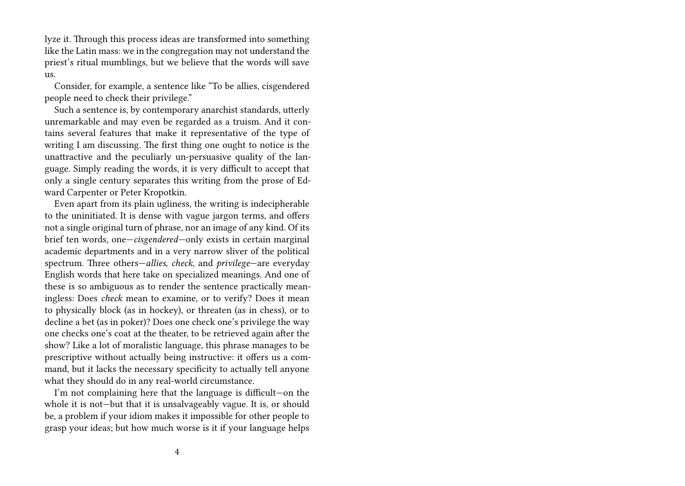lyze it. Through this process ideas are transformed into something like the Latin mass: we in the congregation may not understand the priest's ritual mumblings, but we believe that the words will save us.

Consider, for example, a sentence like "To be allies, cisgendered people need to check their privilege."

Such a sentence is, by contemporary anarchist standards, utterly unremarkable and may even be regarded as a truism. And it contains several features that make it representative of the type of writing I am discussing. The first thing one ought to notice is the unattractive and the peculiarly un-persuasive quality of the language. Simply reading the words, it is very difficult to accept that only a single century separates this writing from the prose of Edward Carpenter or Peter Kropotkin.

Even apart from its plain ugliness, the writing is indecipherable to the uninitiated. It is dense with vague jargon terms, and offers not a single original turn of phrase, nor an image of any kind. Of its brief ten words, one—*cisgendered*—only exists in certain marginal academic departments and in a very narrow sliver of the political spectrum. Three others—*allies*, *check*, and *privilege*—are everyday English words that here take on specialized meanings. And one of these is so ambiguous as to render the sentence practically meaningless: Does *check* mean to examine, or to verify? Does it mean to physically block (as in hockey), or threaten (as in chess), or to decline a bet (as in poker)? Does one check one's privilege the way one checks one's coat at the theater, to be retrieved again after the show? Like a lot of moralistic language, this phrase manages to be prescriptive without actually being instructive: it offers us a command, but it lacks the necessary specificity to actually tell anyone what they should do in any real-world circumstance.

I'm not complaining here that the language is difficult—on the whole it is not—but that it is unsalvageably vague. It is, or should be, a problem if your idiom makes it impossible for other people to grasp your ideas; but how much worse is it if your language helps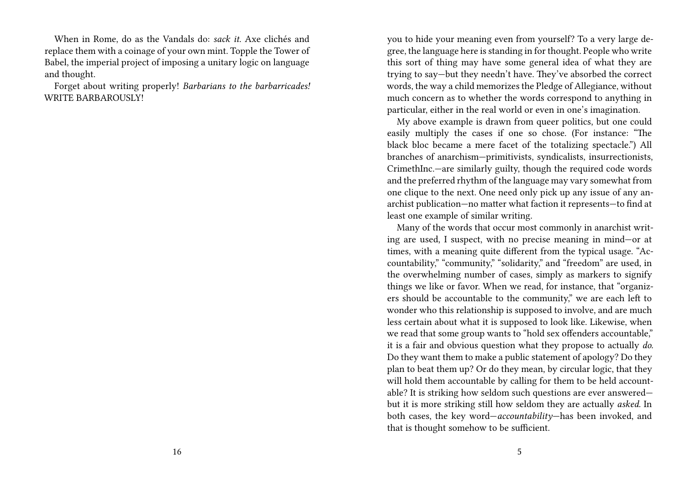When in Rome, do as the Vandals do: *sack it.* Axe clichés and replace them with a coinage of your own mint. Topple the Tower of Babel, the imperial project of imposing a unitary logic on language and thought.

Forget about writing properly! *Barbarians to the barbarricades!* WRITE BARBAROUSLY!

you to hide your meaning even from yourself? To a very large degree, the language here is standing in for thought. People who write this sort of thing may have some general idea of what they are trying to say—but they needn't have. They've absorbed the correct words, the way a child memorizes the Pledge of Allegiance, without much concern as to whether the words correspond to anything in particular, either in the real world or even in one's imagination.

My above example is drawn from queer politics, but one could easily multiply the cases if one so chose. (For instance: "The black bloc became a mere facet of the totalizing spectacle.") All branches of anarchism—primitivists, syndicalists, insurrectionists, CrimethInc.—are similarly guilty, though the required code words and the preferred rhythm of the language may vary somewhat from one clique to the next. One need only pick up any issue of any anarchist publication—no matter what faction it represents—to find at least one example of similar writing.

Many of the words that occur most commonly in anarchist writing are used, I suspect, with no precise meaning in mind—or at times, with a meaning quite different from the typical usage. "Accountability," "community," "solidarity," and "freedom" are used, in the overwhelming number of cases, simply as markers to signify things we like or favor. When we read, for instance, that "organizers should be accountable to the community," we are each left to wonder who this relationship is supposed to involve, and are much less certain about what it is supposed to look like. Likewise, when we read that some group wants to "hold sex offenders accountable," it is a fair and obvious question what they propose to actually *do.* Do they want them to make a public statement of apology? Do they plan to beat them up? Or do they mean, by circular logic, that they will hold them accountable by calling for them to be held accountable? It is striking how seldom such questions are ever answered but it is more striking still how seldom they are actually *asked.* In both cases, the key word—*accountability*—has been invoked, and that is thought somehow to be sufficient.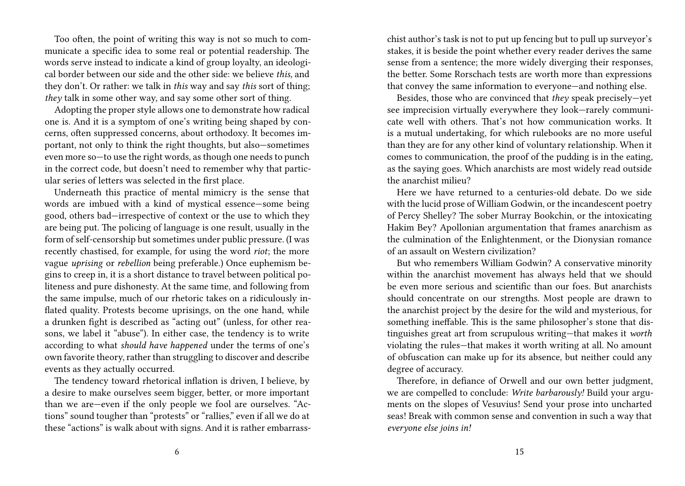Too often, the point of writing this way is not so much to communicate a specific idea to some real or potential readership. The words serve instead to indicate a kind of group loyalty, an ideological border between our side and the other side: we believe *this,* and they don't. Or rather: we talk in *this* way and say *this* sort of thing; *they* talk in some other way, and say some other sort of thing.

Adopting the proper style allows one to demonstrate how radical one is. And it is a symptom of one's writing being shaped by concerns, often suppressed concerns, about orthodoxy. It becomes important, not only to think the right thoughts, but also—sometimes even more so—to use the right words, as though one needs to punch in the correct code, but doesn't need to remember why that particular series of letters was selected in the first place.

Underneath this practice of mental mimicry is the sense that words are imbued with a kind of mystical essence—some being good, others bad—irrespective of context or the use to which they are being put. The policing of language is one result, usually in the form of self-censorship but sometimes under public pressure. (I was recently chastised, for example, for using the word *riot*; the more vague *uprising* or *rebellion* being preferable.) Once euphemism begins to creep in, it is a short distance to travel between political politeness and pure dishonesty. At the same time, and following from the same impulse, much of our rhetoric takes on a ridiculously inflated quality. Protests become uprisings, on the one hand, while a drunken fight is described as "acting out" (unless, for other reasons, we label it "abuse"). In either case, the tendency is to write according to what *should have happened* under the terms of one's own favorite theory, rather than struggling to discover and describe events as they actually occurred.

The tendency toward rhetorical inflation is driven, I believe, by a desire to make ourselves seem bigger, better, or more important than we are—even if the only people we fool are ourselves. "Actions" sound tougher than "protests" or "rallies," even if all we do at these "actions" is walk about with signs. And it is rather embarrasschist author's task is not to put up fencing but to pull up surveyor's stakes, it is beside the point whether every reader derives the same sense from a sentence; the more widely diverging their responses, the better. Some Rorschach tests are worth more than expressions that convey the same information to everyone—and nothing else.

Besides, those who are convinced that *they* speak precisely—yet see imprecision virtually everywhere they look—rarely communicate well with others. That's not how communication works. It is a mutual undertaking, for which rulebooks are no more useful than they are for any other kind of voluntary relationship. When it comes to communication, the proof of the pudding is in the eating, as the saying goes. Which anarchists are most widely read outside the anarchist milieu?

Here we have returned to a centuries-old debate. Do we side with the lucid prose of William Godwin, or the incandescent poetry of Percy Shelley? The sober Murray Bookchin, or the intoxicating Hakim Bey? Apollonian argumentation that frames anarchism as the culmination of the Enlightenment, or the Dionysian romance of an assault on Western civilization?

But who remembers William Godwin? A conservative minority within the anarchist movement has always held that we should be even more serious and scientific than our foes. But anarchists should concentrate on our strengths. Most people are drawn to the anarchist project by the desire for the wild and mysterious, for something ineffable. This is the same philosopher's stone that distinguishes great art from scrupulous writing—that makes it *worth* violating the rules—that makes it worth writing at all. No amount of obfuscation can make up for its absence, but neither could any degree of accuracy.

Therefore, in defiance of Orwell and our own better judgment, we are compelled to conclude: *Write barbarously!* Build your arguments on the slopes of Vesuvius! Send your prose into uncharted seas! Break with common sense and convention in such a way that *everyone else joins in!*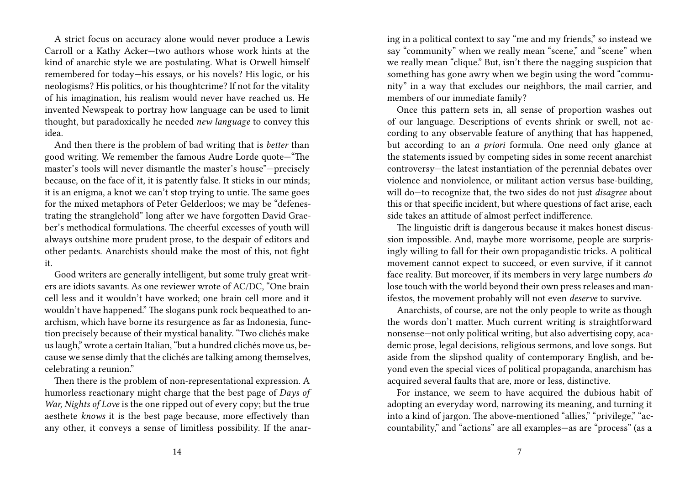A strict focus on accuracy alone would never produce a Lewis Carroll or a Kathy Acker—two authors whose work hints at the kind of anarchic style we are postulating. What is Orwell himself remembered for today—his essays, or his novels? His logic, or his neologisms? His politics, or his thoughtcrime? If not for the vitality of his imagination, his realism would never have reached us. He invented Newspeak to portray how language can be used to limit thought, but paradoxically he needed *new language* to convey this idea.

And then there is the problem of bad writing that is *better* than good writing. We remember the famous Audre Lorde quote—"The master's tools will never dismantle the master's house"—precisely because, on the face of it, it is patently false. It sticks in our minds; it is an enigma, a knot we can't stop trying to untie. The same goes for the mixed metaphors of Peter Gelderloos; we may be "defenestrating the stranglehold" long after we have forgotten David Graeber's methodical formulations. The cheerful excesses of youth will always outshine more prudent prose, to the despair of editors and other pedants. Anarchists should make the most of this, not fight it.

Good writers are generally intelligent, but some truly great writers are idiots savants. As one reviewer wrote of AC/DC, "One brain cell less and it wouldn't have worked; one brain cell more and it wouldn't have happened." The slogans punk rock bequeathed to anarchism, which have borne its resurgence as far as Indonesia, function precisely because of their mystical banality. "Two clichés make us laugh," wrote a certain Italian, "but a hundred clichés move us, because we sense dimly that the clichés are talking among themselves, celebrating a reunion."

Then there is the problem of non-representational expression. A humorless reactionary might charge that the best page of *Days of War, Nights of Love* is the one ripped out of every copy; but the true aesthete *knows* it is the best page because, more effectively than any other, it conveys a sense of limitless possibility. If the anaring in a political context to say "me and my friends," so instead we say "community" when we really mean "scene," and "scene" when we really mean "clique." But, isn't there the nagging suspicion that something has gone awry when we begin using the word "community" in a way that excludes our neighbors, the mail carrier, and members of our immediate family?

Once this pattern sets in, all sense of proportion washes out of our language. Descriptions of events shrink or swell, not according to any observable feature of anything that has happened, but according to an *a priori* formula. One need only glance at the statements issued by competing sides in some recent anarchist controversy—the latest instantiation of the perennial debates over violence and nonviolence, or militant action versus base-building, will do—to recognize that, the two sides do not just *disagree* about this or that specific incident, but where questions of fact arise, each side takes an attitude of almost perfect indifference.

The linguistic drift is dangerous because it makes honest discussion impossible. And, maybe more worrisome, people are surprisingly willing to fall for their own propagandistic tricks. A political movement cannot expect to succeed, or even survive, if it cannot face reality. But moreover, if its members in very large numbers *do* lose touch with the world beyond their own press releases and manifestos, the movement probably will not even *deserve* to survive.

Anarchists, of course, are not the only people to write as though the words don't matter. Much current writing is straightforward nonsense—not only political writing, but also advertising copy, academic prose, legal decisions, religious sermons, and love songs. But aside from the slipshod quality of contemporary English, and beyond even the special vices of political propaganda, anarchism has acquired several faults that are, more or less, distinctive.

For instance, we seem to have acquired the dubious habit of adopting an everyday word, narrowing its meaning, and turning it into a kind of jargon. The above-mentioned "allies," "privilege," "accountability," and "actions" are all examples—as are "process" (as a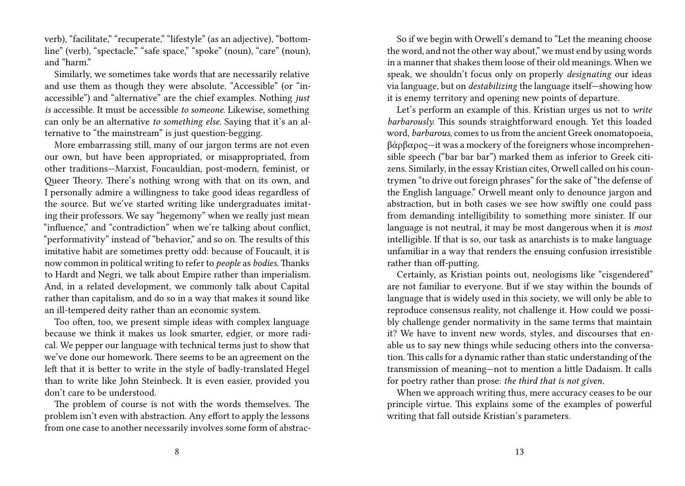verb), "facilitate," "recuperate," "lifestyle" (as an adjective), "bottomline" (verb), "spectacle," "safe space," "spoke" (noun), "care" (noun), and "harm."

Similarly, we sometimes take words that are necessarily relative and use them as though they were absolute. "Accessible" (or "inaccessible") and "alternative" are the chief examples. Nothing *just is* accessible. It must be accessible *to someone.* Likewise, something can only be an alternative *to something else.* Saying that it's an alternative to "the mainstream" is just question-begging.

More embarrassing still, many of our jargon terms are not even our own, but have been appropriated, or misappropriated, from other traditions—Marxist, Foucauldian, post-modern, feminist, or Queer Theory. There's nothing wrong with that on its own, and I personally admire a willingness to take good ideas regardless of the source. But we've started writing like undergraduates imitating their professors. We say "hegemony" when we really just mean "influence," and "contradiction" when we're talking about conflict, "performativity" instead of "behavior," and so on. The results of this imitative habit are sometimes pretty odd: because of Foucault, it is now common in political writing to refer to *people* as *bodies.* Thanks to Hardt and Negri, we talk about Empire rather than imperialism. And, in a related development, we commonly talk about Capital rather than capitalism, and do so in a way that makes it sound like an ill-tempered deity rather than an economic system.

Too often, too, we present simple ideas with complex language because we think it makes us look smarter, edgier, or more radical. We pepper our language with technical terms just to show that we've done our homework. There seems to be an agreement on the left that it is better to write in the style of badly-translated Hegel than to write like John Steinbeck. It is even easier, provided you don't care to be understood.

The problem of course is not with the words themselves. The problem isn't even with abstraction. Any effort to apply the lessons from one case to another necessarily involves some form of abstrac-

So if we begin with Orwell's demand to "Let the meaning choose the word, and not the other way about," we must end by using words in a manner that shakes them loose of their old meanings. When we speak, we shouldn't focus only on properly *designating* our ideas via language, but on *destabilizing* the language itself—showing how it is enemy territory and opening new points of departure.

Let's perform an example of this. Kristian urges us not to *write barbarously.* This sounds straightforward enough. Yet this loaded word, *barbarous,* comes to us from the ancient Greek onomatopoeia, βάρβαρος—it was a mockery of the foreigners whose incomprehensible speech ("bar bar bar") marked them as inferior to Greek citizens. Similarly, in the essay Kristian cites, Orwell called on his countrymen "to drive out foreign phrases" for the sake of "the defense of the English language." Orwell meant only to denounce jargon and abstraction, but in both cases we see how swiftly one could pass from demanding intelligibility to something more sinister. If our language is not neutral, it may be most dangerous when it is *most* intelligible. If that is so, our task as anarchists is to make language unfamiliar in a way that renders the ensuing confusion irresistible rather than off-putting.

Certainly, as Kristian points out, neologisms like "cisgendered" are not familiar to everyone. But if we stay within the bounds of language that is widely used in this society, we will only be able to reproduce consensus reality, not challenge it. How could we possibly challenge gender normativity in the same terms that maintain it? We have to invent new words, styles, and discourses that enable us to say new things while seducing others into the conversation. This calls for a dynamic rather than static understanding of the transmission of meaning—not to mention a little Dadaism. It calls for poetry rather than prose: *the third that is not given.*

When we approach writing thus, mere accuracy ceases to be our principle virtue. This explains some of the examples of powerful writing that fall outside Kristian's parameters.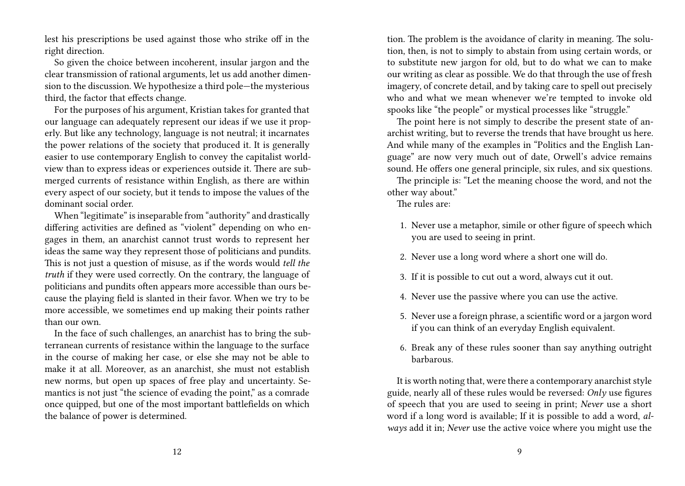lest his prescriptions be used against those who strike off in the right direction.

So given the choice between incoherent, insular jargon and the clear transmission of rational arguments, let us add another dimension to the discussion. We hypothesize a third pole—the mysterious third, the factor that effects change.

For the purposes of his argument, Kristian takes for granted that our language can adequately represent our ideas if we use it properly. But like any technology, language is not neutral; it incarnates the power relations of the society that produced it. It is generally easier to use contemporary English to convey the capitalist worldview than to express ideas or experiences outside it. There are submerged currents of resistance within English, as there are within every aspect of our society, but it tends to impose the values of the dominant social order.

When "legitimate" is inseparable from "authority" and drastically differing activities are defined as "violent" depending on who engages in them, an anarchist cannot trust words to represent her ideas the same way they represent those of politicians and pundits. This is not just a question of misuse, as if the words would *tell the truth* if they were used correctly. On the contrary, the language of politicians and pundits often appears more accessible than ours because the playing field is slanted in their favor. When we try to be more accessible, we sometimes end up making their points rather than our own.

In the face of such challenges, an anarchist has to bring the subterranean currents of resistance within the language to the surface in the course of making her case, or else she may not be able to make it at all. Moreover, as an anarchist, she must not establish new norms, but open up spaces of free play and uncertainty. Semantics is not just "the science of evading the point," as a comrade once quipped, but one of the most important battlefields on which the balance of power is determined.

tion. The problem is the avoidance of clarity in meaning. The solution, then, is not to simply to abstain from using certain words, or to substitute new jargon for old, but to do what we can to make our writing as clear as possible. We do that through the use of fresh imagery, of concrete detail, and by taking care to spell out precisely who and what we mean whenever we're tempted to invoke old spooks like "the people" or mystical processes like "struggle."

The point here is not simply to describe the present state of anarchist writing, but to reverse the trends that have brought us here. And while many of the examples in "Politics and the English Language" are now very much out of date, Orwell's advice remains sound. He offers one general principle, six rules, and six questions.

The principle is: "Let the meaning choose the word, and not the other way about."

The rules are:

- 1. Never use a metaphor, simile or other figure of speech which you are used to seeing in print.
- 2. Never use a long word where a short one will do.
- 3. If it is possible to cut out a word, always cut it out.
- 4. Never use the passive where you can use the active.
- 5. Never use a foreign phrase, a scientific word or a jargon word if you can think of an everyday English equivalent.
- 6. Break any of these rules sooner than say anything outright barbarous.

It is worth noting that, were there a contemporary anarchist style guide, nearly all of these rules would be reversed: *Only* use figures of speech that you are used to seeing in print; *Never* use a short word if a long word is available; If it is possible to add a word, *always* add it in; *Never* use the active voice where you might use the